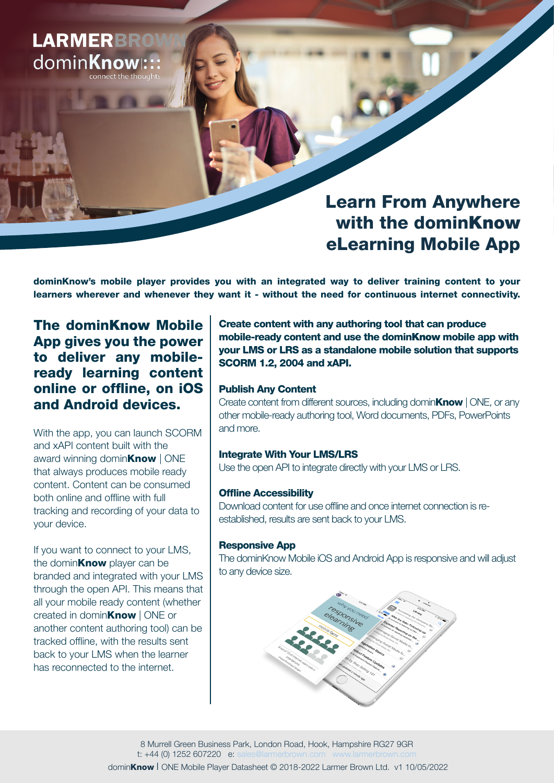# **LARMERBROW** dominKnow::

## Learn From Anywhere with the dominKnow eLearning Mobile App

dominKnow's mobile player provides you with an integrated way to deliver training content to your learners wherever and whenever they want it - without the need for continuous internet connectivity.

### The dominKnow Mobile App gives you the power to deliver any mobileready learning content online or offline, on iOS and Android devices.

With the app, you can launch SCORM and xAPI content built with the award winning domin**Know** | ONE that always produces mobile ready content. Content can be consumed both online and offline with full tracking and recording of your data to your device.

If you want to connect to your LMS, the domin**Know** player can be branded and integrated with your LMS through the open API. This means that all your mobile ready content (whether created in domin**Know** | ONE or another content authoring tool) can be tracked offline, with the results sent back to your LMS when the learner has reconnected to the internet.

Create content with any authoring tool that can produce mobile-ready content and use the dominKnow mobile app with your LMS or LRS as a standalone mobile solution that supports SCORM 1.2, 2004 and xAPI.

#### Publish Any Content

Create content from different sources, including domin**Know** | ONE, or any other mobile-ready authoring tool, Word documents, PDFs, PowerPoints and more.

#### Integrate With Your LMS/LRS

Use the open API to integrate directly with your LMS or LRS.

#### Offline Accessibility

Download content for use offline and once internet connection is reestablished, results are sent back to your LMS.

#### Responsive App

The dominKnow Mobile iOS and Android App is responsive and will adjust to any device size.